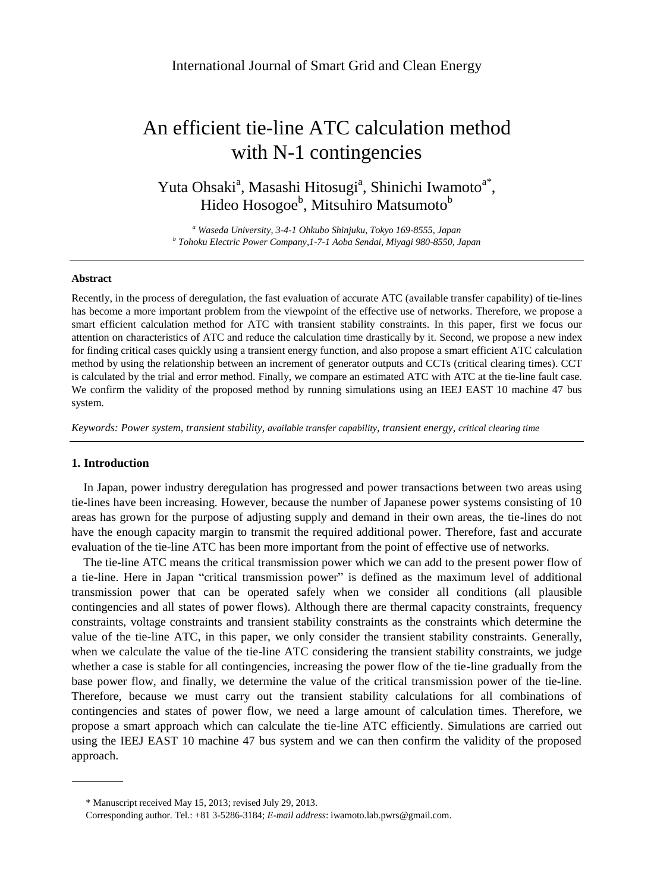# An efficient tie-line ATC calculation method with N-1 contingencies

Yuta Ohsaki<sup>a</sup>, Masashi Hitosugi<sup>a</sup>, Shinichi Iwamoto<sup>a\*</sup>, Hideo Hosogoe<sup>b</sup>, Mitsuhiro Matsumoto<sup>b</sup>

*<sup>a</sup> Waseda University, 3-4-1 Ohkubo Shinjuku, Tokyo 169-8555, Japan b Tohoku Electric Power Company,1-7-1 Aoba Sendai, Miyagi 980-8550, Japan*

#### **Abstract**

Recently, in the process of deregulation, the fast evaluation of accurate ATC (available transfer capability) of tie-lines has become a more important problem from the viewpoint of the effective use of networks. Therefore, we propose a smart efficient calculation method for ATC with transient stability constraints. In this paper, first we focus our attention on characteristics of ATC and reduce the calculation time drastically by it. Second, we propose a new index for finding critical cases quickly using a transient energy function, and also propose a smart efficient ATC calculation method by using the relationship between an increment of generator outputs and CCTs (critical clearing times). CCT is calculated by the trial and error method. Finally, we compare an estimated ATC with ATC at the tie-line fault case. We confirm the validity of the proposed method by running simulations using an IEEJ EAST 10 machine 47 bus system.

*Keywords: Power system, transient stability, available transfer capability, transient energy, critical clearing time*

# **1. Introduction**

In Japan, power industry deregulation has progressed and power transactions between two areas using tie-lines have been increasing. However, because the number of Japanese power systems consisting of 10 areas has grown for the purpose of adjusting supply and demand in their own areas, the tie-lines do not have the enough capacity margin to transmit the required additional power. Therefore, fast and accurate evaluation of the tie-line ATC has been more important from the point of effective use of networks.

The tie-line ATC means the critical transmission power which we can add to the present power flow of a tie-line. Here in Japan "critical transmission power" is defined as the maximum level of additional transmission power that can be operated safely when we consider all conditions (all plausible contingencies and all states of power flows). Although there are thermal capacity constraints, frequency constraints, voltage constraints and transient stability constraints as the constraints which determine the value of the tie-line ATC, in this paper, we only consider the transient stability constraints. Generally, when we calculate the value of the tie-line ATC considering the transient stability constraints, we judge whether a case is stable for all contingencies, increasing the power flow of the tie-line gradually from the base power flow, and finally, we determine the value of the critical transmission power of the tie-line. Therefore, because we must carry out the transient stability calculations for all combinations of contingencies and states of power flow, we need a large amount of calculation times. Therefore, we propose a smart approach which can calculate the tie-line ATC efficiently. Simulations are carried out using the IEEJ EAST 10 machine 47 bus system and we can then confirm the validity of the proposed approach.

<sup>\*</sup> Manuscript received May 15, 2013; revised July 29, 2013.

Corresponding author. Tel.: +81 3-5286-3184; *E-mail address*: iwamoto.lab.pwrs@gmail.com.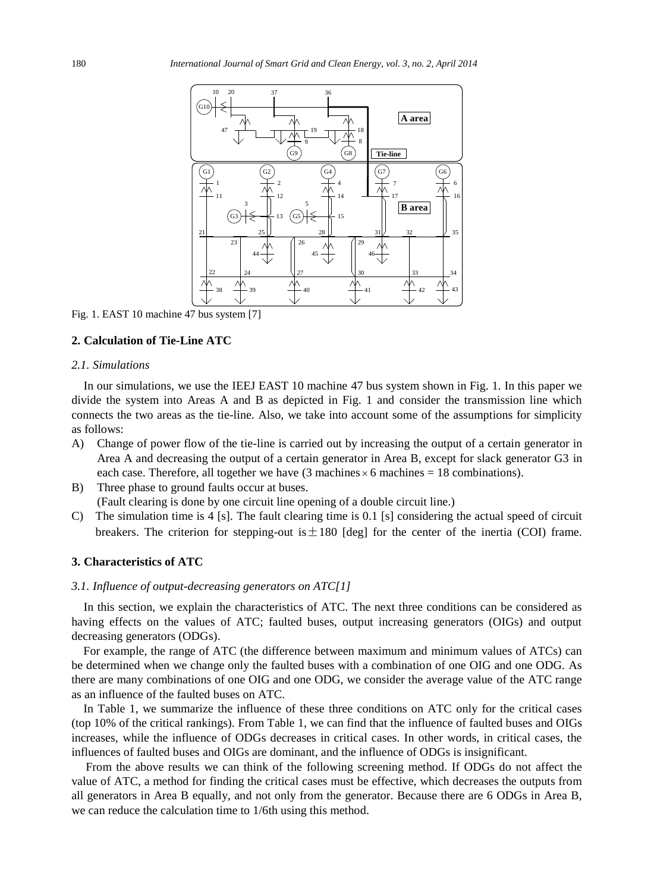

Fig. 1. EAST 10 machine 47 bus system [7]

# **2. Calculation of Tie-Line ATC**

## *2.1. Simulations*

In our simulations, we use the IEEJ EAST 10 machine 47 bus system shown in Fig. 1. In this paper we divide the system into Areas A and B as depicted in Fig. 1 and consider the transmission line which connects the two areas as the tie-line. Also, we take into account some of the assumptions for simplicity as follows:

- A) Change of power flow of the tie-line is carried out by increasing the output of a certain generator in Area A and decreasing the output of a certain generator in Area B, except for slack generator G3 in each case. Therefore, all together we have (3 machines  $\times$  6 machines = 18 combinations).
- B) Three phase to ground faults occur at buses. (Fault clearing is done by one circuit line opening of a double circuit line.)
- C) The simulation time is 4 [s]. The fault clearing time is 0.1 [s] considering the actual speed of circuit breakers. The criterion for stepping-out is  $\pm 180$  [deg] for the center of the inertia (COI) frame.

#### **3. Characteristics of ATC**

# *3.1. Influence of output-decreasing generators on ATC[1]*

In this section, we explain the characteristics of ATC. The next three conditions can be considered as having effects on the values of ATC; faulted buses, output increasing generators (OIGs) and output decreasing generators (ODGs).

For example, the range of ATC (the difference between maximum and minimum values of ATCs) can be determined when we change only the faulted buses with a combination of one OIG and one ODG. As there are many combinations of one OIG and one ODG, we consider the average value of the ATC range as an influence of the faulted buses on ATC.

In Table 1, we summarize the influence of these three conditions on ATC only for the critical cases (top 10% of the critical rankings). From Table 1, we can find that the influence of faulted buses and OIGs increases, while the influence of ODGs decreases in critical cases. In other words, in critical cases, the influences of faulted buses and OIGs are dominant, and the influence of ODGs is insignificant.

From the above results we can think of the following screening method. If ODGs do not affect the value of ATC, a method for finding the critical cases must be effective, which decreases the outputs from all generators in Area B equally, and not only from the generator. Because there are 6 ODGs in Area B, we can reduce the calculation time to 1/6th using this method.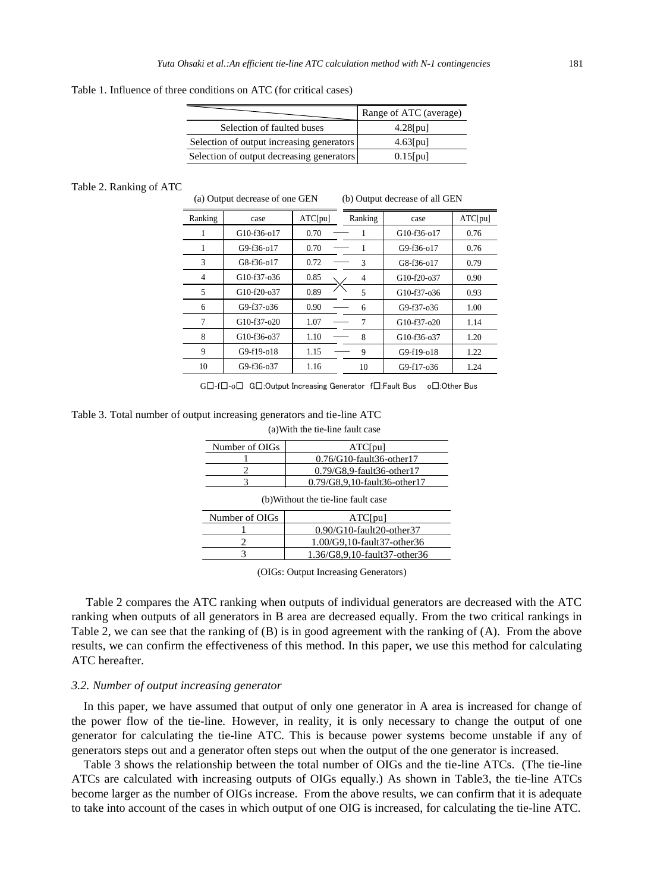Table 1. Influence of three conditions on ATC (for critical cases)

|                                           | Range of ATC (average) |
|-------------------------------------------|------------------------|
| Selection of faulted buses                | $4.28$ [pu]            |
| Selection of output increasing generators | $4.63$ [pu]            |
| Selection of output decreasing generators | $0.15$ [pu]            |

#### Table 2. Ranking of ATC

(a) Output decrease of one GEN (b) Output decrease of all GEN

| Ranking | case          | ATC[pu] | Ranking | case          | ATC[pu] |
|---------|---------------|---------|---------|---------------|---------|
|         | G10-f36-o17   | 0.70    |         | G10-f36-o17   | 0.76    |
| 1       | $G9-f36-017$  | 0.70    |         | $G9-f36-017$  | 0.76    |
| 3       | $G8-f36-017$  | 0.72    | 3       | $G8-f36-017$  | 0.79    |
| 4       | $G10-f37-036$ | 0.85    | 4       | $G10-f20-037$ | 0.90    |
| 5       | $G10-f20-037$ | 0.89    | 5       | G10-f37-o36   | 0.93    |
| 6       | $G9-f37-036$  | 0.90    | 6       | $G9-f37-036$  | 1.00    |
| 7       | $G10-f37-020$ | 1.07    |         | $G10-f37-020$ | 1.14    |
| 8       | $G10-f36-037$ | 1.10    | 8       | G10-f36-o37   | 1.20    |
| 9       | $G9-f19-018$  | 1.15    | 9       | $G9-f19-018$  | 1.22    |
| 10      | G9-f36-o37    | 1.16    | 10      | G9-f17-o36    | 1.24    |

G□-f□-o□ G□:Output Increasing Generator f□:Fault Bus o□:Other Bus

Table 3. Total number of output increasing generators and tie-line ATC (a)With the tie-line fault case

| Number of OIGs<br>ATC[pu]                             |                              |  |  |  |
|-------------------------------------------------------|------------------------------|--|--|--|
|                                                       | $0.76/G10$ -fault36-other17  |  |  |  |
|                                                       | $0.79/G8.9$ -fault36-other17 |  |  |  |
|                                                       | 0.79/G8,9,10-fault36-other17 |  |  |  |
| (b) Without the tie-line fault case                   |                              |  |  |  |
| Number of OIGs<br>ATC[pu]<br>0.90/G10-fault20-other37 |                              |  |  |  |
| 1.00/G9,10-fault37-other36                            |                              |  |  |  |
|                                                       | 1.36/G8.9.10-fault37-other36 |  |  |  |

(OIGs: Output Increasing Generators)

Table 2 compares the ATC ranking when outputs of individual generators are decreased with the ATC ranking when outputs of all generators in B area are decreased equally. From the two critical rankings in Table 2, we can see that the ranking of (B) is in good agreement with the ranking of (A). From the above results, we can confirm the effectiveness of this method. In this paper, we use this method for calculating ATC hereafter.

#### *3.2. Number of output increasing generator*

In this paper, we have assumed that output of only one generator in A area is increased for change of the power flow of the tie-line. However, in reality, it is only necessary to change the output of one generator for calculating the tie-line ATC. This is because power systems become unstable if any of generators steps out and a generator often steps out when the output of the one generator is increased.

Table 3 shows the relationship between the total number of OIGs and the tie-line ATCs. (The tie-line ATCs are calculated with increasing outputs of OIGs equally.) As shown in Table3, the tie-line ATCs become larger as the number of OIGs increase. From the above results, we can confirm that it is adequate to take into account of the cases in which output of one OIG is increased, for calculating the tie-line ATC.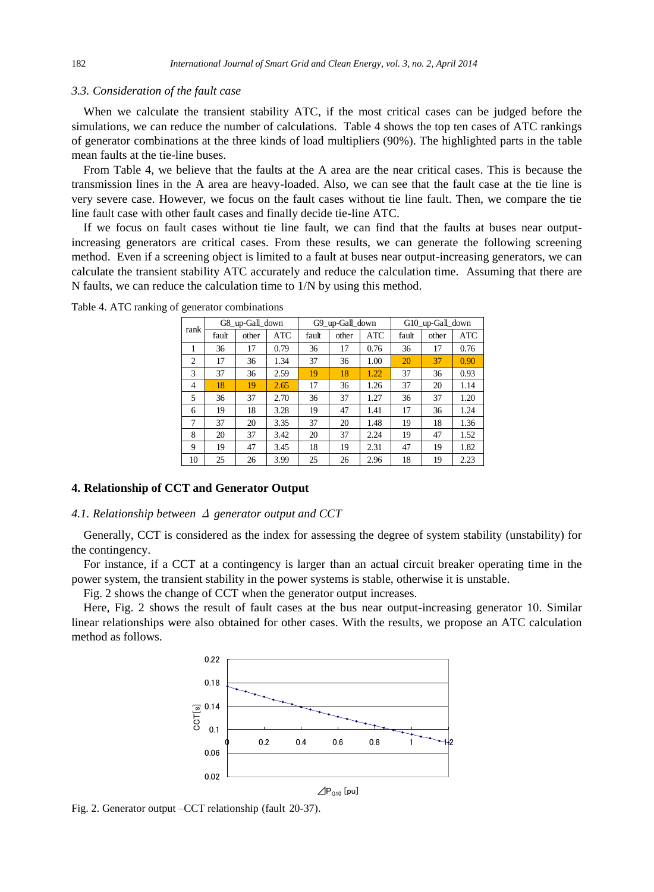#### *3.3. Consideration of the fault case*

When we calculate the transient stability ATC, if the most critical cases can be judged before the simulations, we can reduce the number of calculations. Table 4 shows the top ten cases of ATC rankings of generator combinations at the three kinds of load multipliers (90%). The highlighted parts in the table mean faults at the tie-line buses.

From Table 4, we believe that the faults at the A area are the near critical cases. This is because the transmission lines in the A area are heavy-loaded. Also, we can see that the fault case at the tie line is very severe case. However, we focus on the fault cases without tie line fault. Then, we compare the tie line fault case with other fault cases and finally decide tie-line ATC.

If we focus on fault cases without tie line fault, we can find that the faults at buses near outputincreasing generators are critical cases. From these results, we can generate the following screening method. Even if a screening object is limited to a fault at buses near output-increasing generators, we can calculate the transient stability ATC accurately and reduce the calculation time. Assuming that there are N faults, we can reduce the calculation time to 1/N by using this method.

| rank           |       | G8_up-Gall_down |            | G9_up-Gall_down |       | G10_up-Gall_down |       |       |            |
|----------------|-------|-----------------|------------|-----------------|-------|------------------|-------|-------|------------|
|                | fault | other           | <b>ATC</b> | fault           | other | <b>ATC</b>       | fault | other | <b>ATC</b> |
|                | 36    | 17              | 0.79       | 36              | 17    | 0.76             | 36    | 17    | 0.76       |
| $\overline{c}$ | 17    | 36              | 1.34       | 37              | 36    | 1.00             | 20    | 37    | 0.90       |
| 3              | 37    | 36              | 2.59       | 19              | 18    | 1.22             | 37    | 36    | 0.93       |
| 4              | 18    | 19              | 2.65       | 17              | 36    | 1.26             | 37    | 20    | 1.14       |
| 5              | 36    | 37              | 2.70       | 36              | 37    | 1.27             | 36    | 37    | 1.20       |
| 6              | 19    | 18              | 3.28       | 19              | 47    | 1.41             | 17    | 36    | 1.24       |
| 7              | 37    | 20              | 3.35       | 37              | 20    | 1.48             | 19    | 18    | 1.36       |
| 8              | 20    | 37              | 3.42       | 20              | 37    | 2.24             | 19    | 47    | 1.52       |
| 9              | 19    | 47              | 3.45       | 18              | 19    | 2.31             | 47    | 19    | 1.82       |
| 10             | 25    | 26              | 3.99       | 25              | 26    | 2.96             | 18    | 19    | 2.23       |

Table 4. ATC ranking of generator combinations

# **4. Relationship of CCT and Generator Output**

#### *4.1. Relationship between* Δ *generator output and CCT*

Generally, CCT is considered as the index for assessing the degree of system stability (unstability) for the contingency.

For instance, if a CCT at a contingency is larger than an actual circuit breaker operating time in the power system, the transient stability in the power systems is stable, otherwise it is unstable.

Fig. 2 shows the change of CCT when the generator output increases.

Here, Fig. 2 shows the result of fault cases at the bus near output-increasing generator 10. Similar linear relationships were also obtained for other cases. With the results, we propose an ATC calculation method as follows.



Fig. 2. Generator output –CCT relationship (fault 20-37).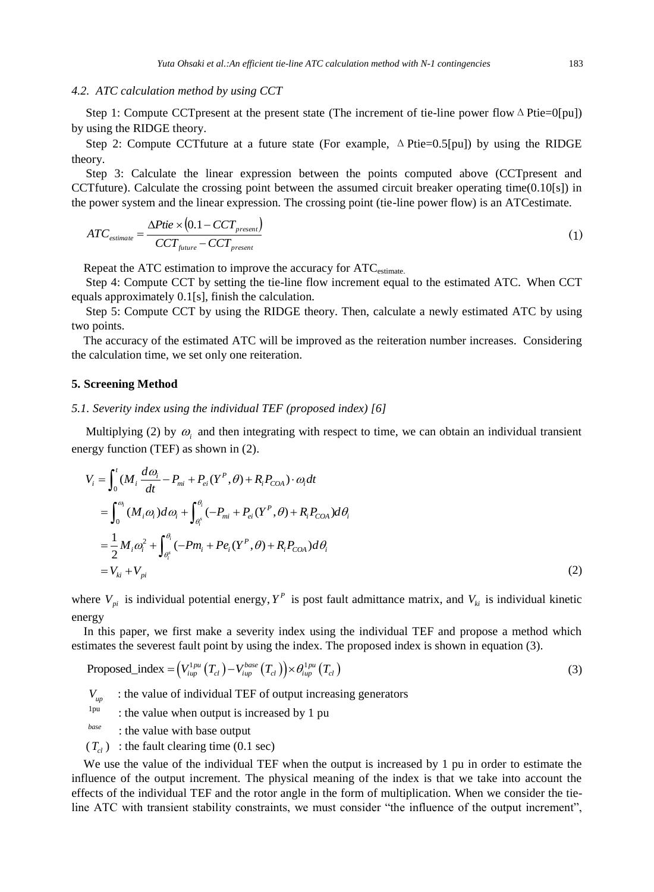## *4.2. ATC calculation method by using CCT*

Step 1: Compute CCTpresent at the present state (The increment of tie-line power flow  $\Delta$  Ptie=0[pu]) by using the RIDGE theory.

Step 2: Compute CCTfuture at a future state (For example,  $\Delta$  Ptie=0.5[pu]) by using the RIDGE theory.

Step 3: Calculate the linear expression between the points computed above (CCTpresent and CCTfuture). Calculate the crossing point between the assumed circuit breaker operating time(0.10[s]) in the power system and the linear expression. The crossing point (tie-line power flow) is an ATCestimate.

$$
ATC_{\text{estimate}} = \frac{\Delta Ptie \times (0.1 - CCT_{\text{present}})}{CCT_{\text{future}} - CCT_{\text{present}}}
$$
\n
$$
\tag{1}
$$

Repeat the ATC estimation to improve the accuracy for ATC<sub>estimate</sub>.

Step 4: Compute CCT by setting the tie-line flow increment equal to the estimated ATC. When CCT equals approximately 0.1[s], finish the calculation.

Step 5: Compute CCT by using the RIDGE theory. Then, calculate a newly estimated ATC by using two points.

The accuracy of the estimated ATC will be improved as the reiteration number increases. Considering the calculation time, we set only one reiteration.

#### **5. Screening Method**

#### *5.1. Severity index using the individual TEF (proposed index) [6]*

Multiplying (2) by  $\omega$ <sub>i</sub> and then integrating with respect to time, we can obtain an individual transient energy function (TEF) as shown in (2).

$$
V_{i} = \int_{0}^{t} (M_{i} \frac{d\omega_{i}}{dt} - P_{mi} + P_{ei}(Y^{P}, \theta) + R_{i}P_{COA}) \cdot \omega_{i} dt
$$
  
\n
$$
= \int_{0}^{\omega_{i}} (M_{i}\omega_{i}) d\omega_{i} + \int_{\theta_{i}^{s}}^{\theta_{i}} (-P_{mi} + P_{ei}(Y^{P}, \theta) + R_{i}P_{COA}) d\theta_{i}
$$
  
\n
$$
= \frac{1}{2} M_{i} \omega_{i}^{2} + \int_{\theta_{i}^{s}}^{\theta_{i}} (-Pm_{i} + Pe_{i}(Y^{P}, \theta) + R_{i}P_{COA}) d\theta_{i}
$$
  
\n
$$
= V_{ki} + V_{pi}
$$
 (2)

where  $V_{pi}$  is individual potential energy,  $Y^P$  is post fault admittance matrix, and  $V_{ki}$  is individual kinetic energy

In this paper, we first make a severity index using the individual TEF and propose a method which estimates the severest fault point by using the index. The proposed index is shown in equation (3).

$$
\text{Proposed\_index} = (V_{iup}^{1pu} (T_{cl}) - V_{iup}^{base} (T_{cl})) \times \theta_{iup}^{1pu} (T_{cl}) \tag{3}
$$

- $V_{up}$  : the value of individual TEF of output increasing generators
- 1pu : the value when output is increased by 1 pu
- *base* : the value with base output
- $(T<sub>cl</sub>)$ : the fault clearing time (0.1 sec)

We use the value of the individual TEF when the output is increased by 1 pu in order to estimate the influence of the output increment. The physical meaning of the index is that we take into account the effects of the individual TEF and the rotor angle in the form of multiplication. When we consider the tieline ATC with transient stability constraints, we must consider "the influence of the output increment",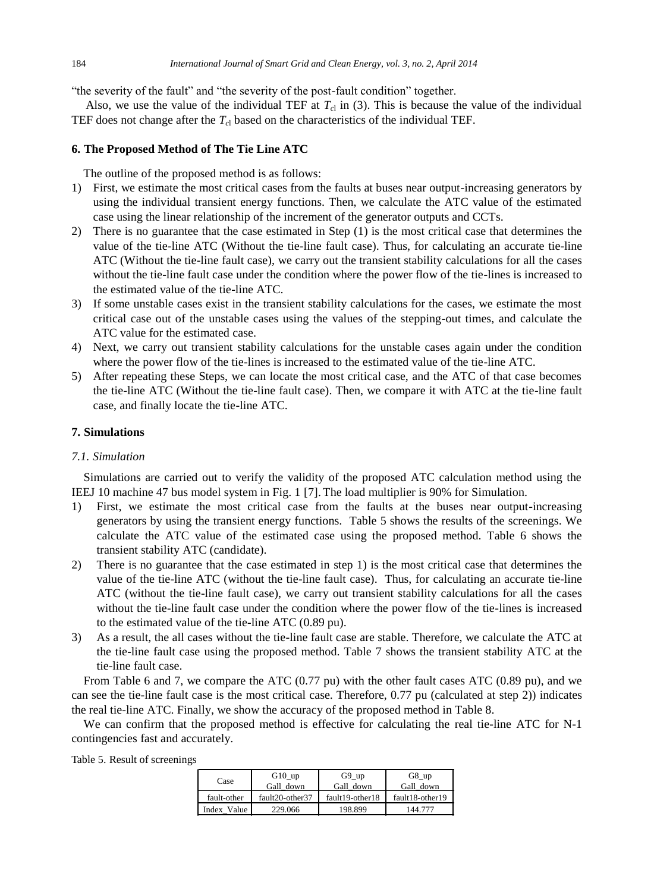"the severity of the fault" and "the severity of the post-fault condition" together.

Also, we use the value of the individual TEF at  $T_{c1}$  in (3). This is because the value of the individual TEF does not change after the  $T_{c1}$  based on the characteristics of the individual TEF.

# **6. The Proposed Method of The Tie Line ATC**

The outline of the proposed method is as follows:

- 1) First, we estimate the most critical cases from the faults at buses near output-increasing generators by using the individual transient energy functions. Then, we calculate the ATC value of the estimated case using the linear relationship of the increment of the generator outputs and CCTs.
- 2) There is no guarantee that the case estimated in Step (1) is the most critical case that determines the value of the tie-line ATC (Without the tie-line fault case). Thus, for calculating an accurate tie-line ATC (Without the tie-line fault case), we carry out the transient stability calculations for all the cases without the tie-line fault case under the condition where the power flow of the tie-lines is increased to the estimated value of the tie-line ATC.
- 3) If some unstable cases exist in the transient stability calculations for the cases, we estimate the most critical case out of the unstable cases using the values of the stepping-out times, and calculate the ATC value for the estimated case.
- 4) Next, we carry out transient stability calculations for the unstable cases again under the condition where the power flow of the tie-lines is increased to the estimated value of the tie-line ATC.
- 5) After repeating these Steps, we can locate the most critical case, and the ATC of that case becomes the tie-line ATC (Without the tie-line fault case). Then, we compare it with ATC at the tie-line fault case, and finally locate the tie-line ATC.

# **7. Simulations**

# *7.1. Simulation*

Simulations are carried out to verify the validity of the proposed ATC calculation method using the IEEJ 10 machine 47 bus model system in Fig. 1 [7]. The load multiplier is 90% for Simulation.

- 1) First, we estimate the most critical case from the faults at the buses near output-increasing generators by using the transient energy functions. Table 5 shows the results of the screenings. We calculate the ATC value of the estimated case using the proposed method. Table 6 shows the transient stability ATC (candidate).
- 2) There is no guarantee that the case estimated in step 1) is the most critical case that determines the value of the tie-line ATC (without the tie-line fault case). Thus, for calculating an accurate tie-line ATC (without the tie-line fault case), we carry out transient stability calculations for all the cases without the tie-line fault case under the condition where the power flow of the tie-lines is increased to the estimated value of the tie-line ATC (0.89 pu).
- 3) As a result, the all cases without the tie-line fault case are stable. Therefore, we calculate the ATC at the tie-line fault case using the proposed method. Table 7 shows the transient stability ATC at the tie-line fault case.

From Table 6 and 7, we compare the ATC (0.77 pu) with the other fault cases ATC (0.89 pu), and we can see the tie-line fault case is the most critical case. Therefore, 0.77 pu (calculated at step 2)) indicates the real tie-line ATC. Finally, we show the accuracy of the proposed method in Table 8.

We can confirm that the proposed method is effective for calculating the real tie-line ATC for N-1 contingencies fast and accurately.

| Case        | $G10$ _up       | $G9$ _up        | $G8$ _up        |
|-------------|-----------------|-----------------|-----------------|
|             | Gall down       | Gall down       | Gall down       |
| fault-other | fault20-other37 | fault19-other18 | fault18-other19 |
| Index Value | 229.066         | 198.899         | 144.777         |

Table 5. Result of screenings